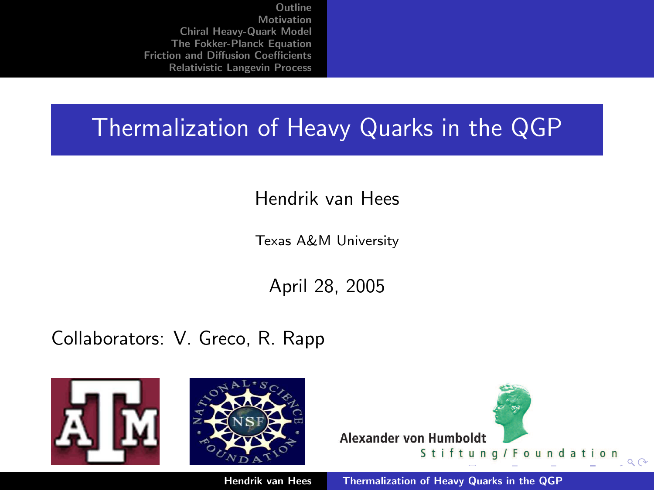## Thermalization of Heavy Quarks in the QGP

Hendrik van Hees

Texas A&M University

<span id="page-0-0"></span>April 28, 2005

Collaborators: V. Greco, R. Rapp

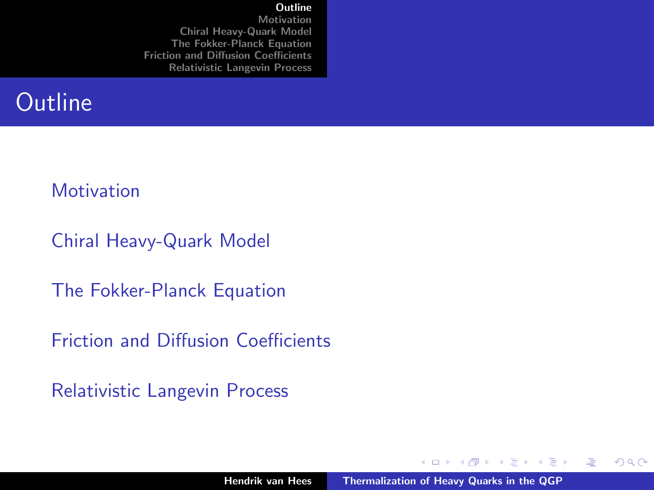#### [Outline](#page-1-0)

[Motivation](#page-2-0) [Chiral Heavy-Quark Model](#page-5-0) [The Fokker-Planck Equation](#page-15-0) [Friction and Diffusion Coefficients](#page-17-0) [Relativistic Langevin Process](#page-27-0)

## **Outline**

#### **[Motivation](#page-2-0)**

[Chiral Heavy-Quark Model](#page-5-0)

[The Fokker-Planck Equation](#page-15-0)

[Friction and Diffusion Coefficients](#page-17-0)

[Relativistic Langevin Process](#page-27-0)

K ロ ⊁ K 倒 ≯ K ミ ⊁ K ミ ≯

<span id="page-1-0"></span>哇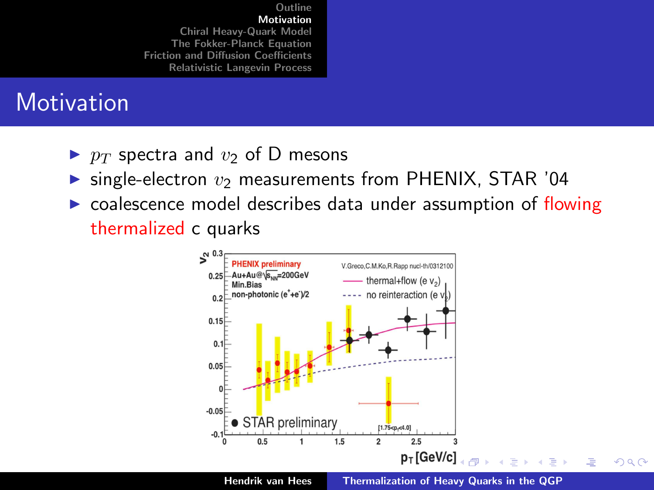## **Motivation**

- $\triangleright$  p<sub>T</sub> spectra and  $v_2$  of D mesons
- $\triangleright$  single-electron  $v_2$  measurements from PHENIX, STAR '04
- $\triangleright$  coalescence model describes data under assumption of flowing thermalized c quarks

<span id="page-2-0"></span>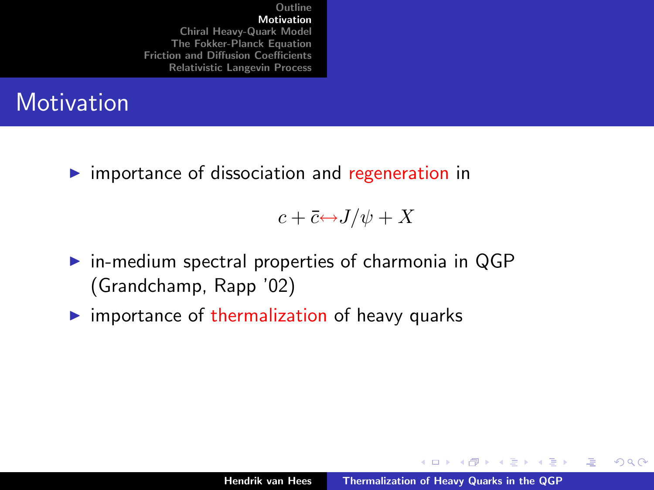## **Motivation**

 $\triangleright$  importance of dissociation and regeneration in

 $c + \overline{c} \leftrightarrow J/\psi + X$ 

- $\triangleright$  in-medium spectral properties of charmonia in QGP (Grandchamp, Rapp '02)
- $\triangleright$  importance of thermalization of heavy quarks

K ロ ⊁ K 倒 ≯ K ミ ⊁ K ミ ≯

哇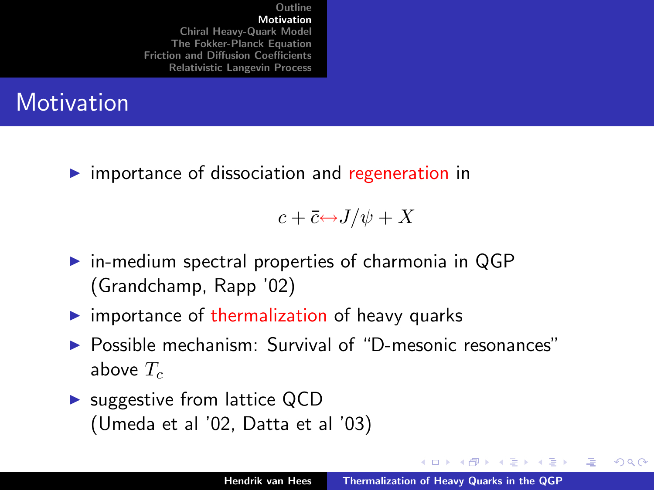## **Motivation**

 $\triangleright$  importance of dissociation and regeneration in

 $c + \overline{c} \leftrightarrow J/\psi + X$ 

- $\triangleright$  in-medium spectral properties of charmonia in QGP (Grandchamp, Rapp '02)
- $\triangleright$  importance of thermalization of heavy quarks
- <sup>I</sup> Possible mechanism: Survival of "D-mesonic resonances" above  $T_c$
- $\triangleright$  suggestive from lattice QCD (Umeda et al '02, Datta et al '03)

K ロ ⊁ K 倒 ≯ K ミ ⊁ K ミ ≯

哇

<span id="page-4-0"></span>つへへ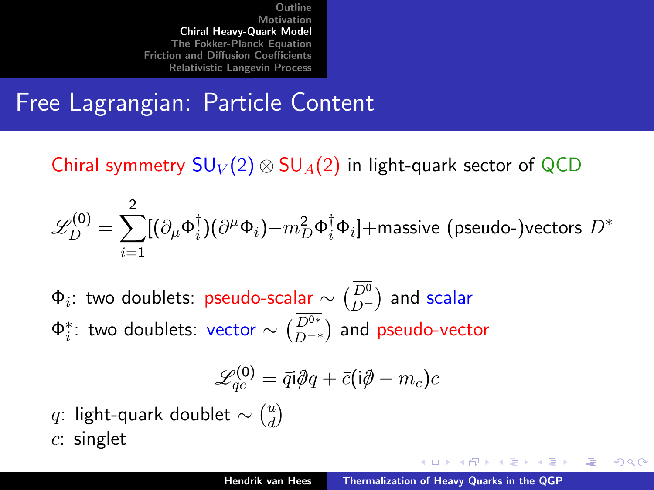## Free Lagrangian: Particle Content

Chiral symmetry  $SU_V(2) \otimes SU_A(2)$  in light-quark sector of QCD

$$
\mathscr{L}_{D}^{(0)} = \sum_{i=1}^{2} [(\partial_{\mu} \Phi_{i}^{\dagger})(\partial^{\mu} \Phi_{i}) - m_{D}^{2} \Phi_{i}^{\dagger} \Phi_{i}] + \text{massive (pseudo-)vectors } D^{*}
$$

 $\Phi_i$ : two doublets: pseudo-scalar  $\sim \binom{D^0}{D^-}$  and scalar  $\Phi_i^*$ : two doublets: vector  $\sim \binom{D^{0*}}{D^{-*}}$  and pseudo-vector

$$
\mathscr{L}^{(0)}_{qc} = \bar{q}\mathsf{i}\partial\!\!\!/\,q + \bar{c}(\mathsf{i}\partial\!\!\!/- m_c)c
$$

 $q$ : light-quark doublet  $\sim \binom{u}{d}$  $\binom{u}{d}$  $c$ : singlet

- オート オート オート

<span id="page-5-0"></span>へのへ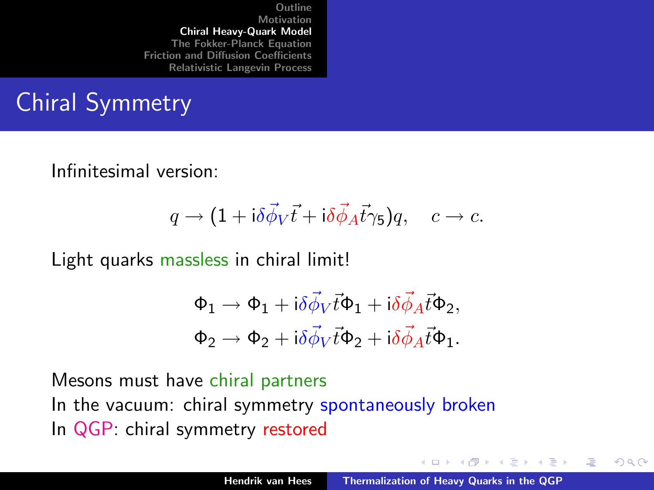# Chiral Symmetry

Infinitesimal version:

$$
q \to (1 + i\delta \vec{\phi}_V \vec{t} + i\delta \vec{\phi}_A \vec{t}\gamma_5)q, \quad c \to c.
$$

Light quarks massless in chiral limit!

$$
\begin{aligned} \Phi_1 &\rightarrow \Phi_1 + \mathrm{i} \delta \vec{\phi}_V \vec{t} \Phi_1 + \mathrm{i} \delta \vec{\phi}_A \vec{t} \Phi_2, \\ \Phi_2 &\rightarrow \Phi_2 + \mathrm{i} \delta \vec{\phi}_V \vec{t} \Phi_2 + \mathrm{i} \delta \vec{\phi}_A \vec{t} \Phi_1. \end{aligned}
$$

Mesons must have chiral partners In the vacuum: chiral symmetry spontaneously broken In QGP: chiral symmetry restored

K ロ ⊁ K 倒 ≯ K ミ ⊁ K ミ ≯

哇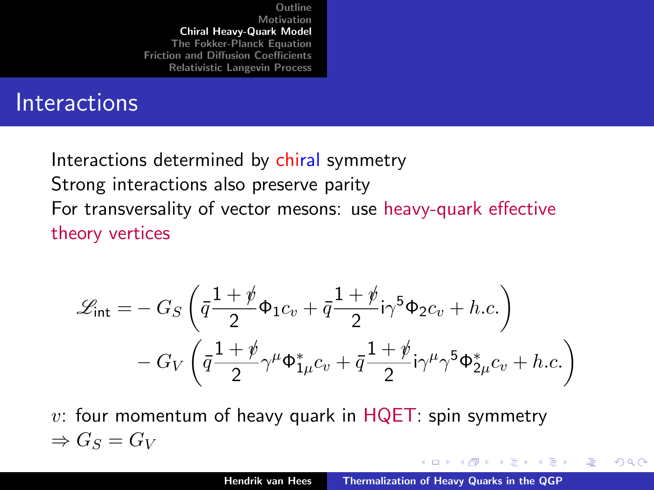#### **Interactions**

Interactions determined by chiral symmetry Strong interactions also preserve parity For transversality of vector mesons: use heavy-quark effective theory vertices

$$
\mathcal{L}_{\text{int}} = -G_S \left( \bar{q} \frac{1+\rlap{\hspace{0.02cm}/}{2}}{2} \Phi_1 c_v + \bar{q} \frac{1+\rlap{\hspace{0.02cm}/}{2}}{2} i \gamma^5 \Phi_2 c_v + h.c. \right) \n-G_V \left( \bar{q} \frac{1+\rlap{\hspace{0.02cm}/}{2}}{2} \gamma^\mu \Phi_{1\mu}^* c_v + \bar{q} \frac{1+\rlap{\hspace{0.02cm}/}{2}}{2} i \gamma^\mu \gamma^5 \Phi_{2\mu}^* c_v + h.c. \right)
$$

 $v$ : four momentum of heavy quark in  $HQET$ : spin symmetry  $\Rightarrow G_S = G_V$ 

K ロ ⊁ K 倒 ≯ K ミ ⊁ K ミ ≯

哇

<span id="page-7-0"></span>つくい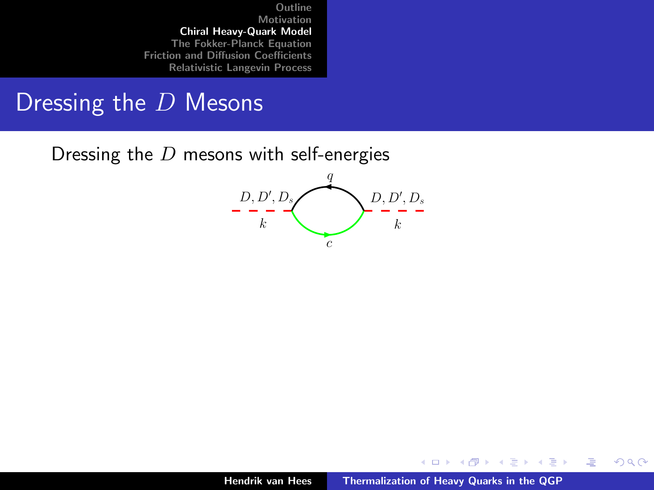#### Dressing the  $D$  Mesons

Dressing the  $D$  mesons with self-energies



K ロ ⊁ K 倒 ≯ K ミ ⊁ K ミ ≯

<span id="page-8-0"></span>哇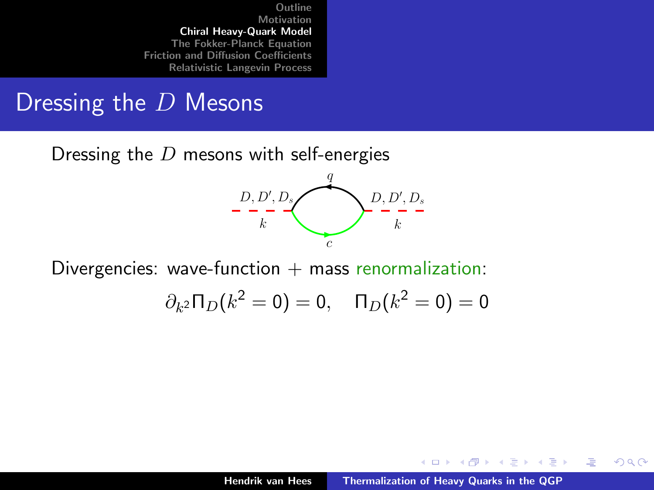#### Dressing the  $D$  Mesons

Dressing the  $D$  mesons with self-energies



Divergencies: wave-function  $+$  mass renormalization:

$$
\partial_{k^2} \Pi_D(k^2 = 0) = 0
$$
,  $\Pi_D(k^2 = 0) = 0$ 

K ロ ⊁ K 倒 ≯ K ミ ⊁ K ミ ≯

哇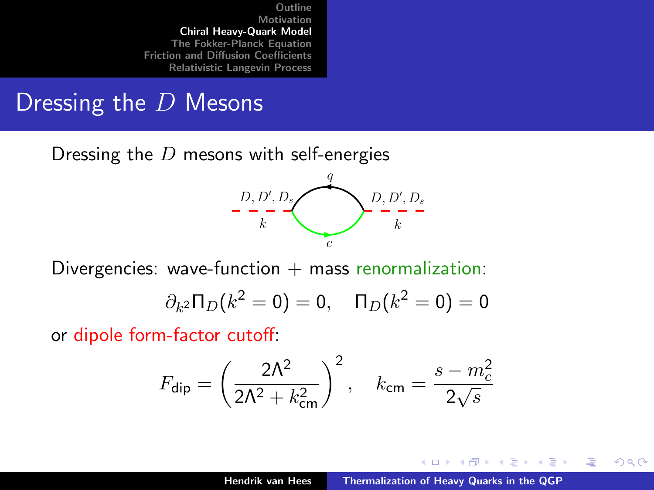#### Dressing the  $D$  Mesons

Dressing the  $D$  mesons with self-energies



Divergencies: wave-function  $+$  mass renormalization:

$$
\partial_{k^2} \Pi_D(k^2 = 0) = 0, \quad \Pi_D(k^2 = 0) = 0
$$

or dipole form-factor cutoff:

$$
F_{\rm dip} = \left(\frac{2\Lambda^2}{2\Lambda^2 + k_{\rm cm}^2}\right)^2, \quad k_{\rm cm} = \frac{s - m_c^2}{2\sqrt{s}}
$$

 $4.17 \times$ 

→ イ団 ト イ ヨ ト イ ヨ ト

<span id="page-10-0"></span>唐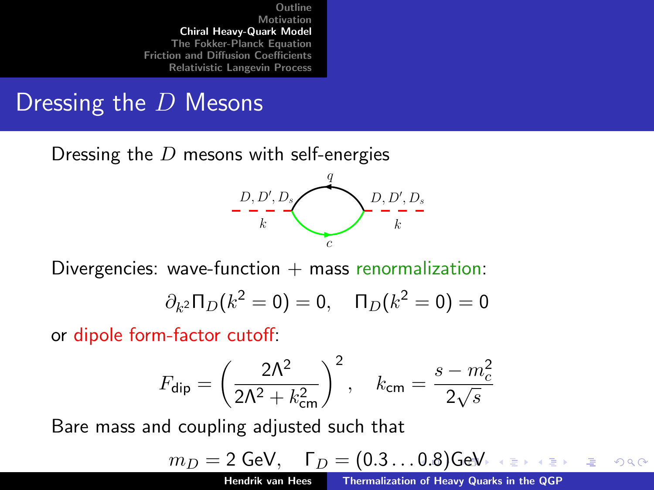#### Dressing the D Mesons

Dressing the  $D$  mesons with self-energies



Divergencies: wave-function  $+$  mass renormalization:

$$
\partial_{k^2} \Pi_D(k^2 = 0) = 0, \quad \Pi_D(k^2 = 0) = 0
$$

or dipole form-factor cutoff:

$$
F_{\rm dip} = \left(\frac{2\Lambda^2}{2\Lambda^2 + k_{\rm cm}^2}\right)^2, \quad k_{\rm cm} = \frac{s - m_c^2}{2\sqrt{s}}
$$

Bare mass and coupling adjusted such that

$$
m_D = 2 \text{ GeV}, \quad \Gamma_D = (0.3 \dots 0.8) \text{ GeV} \iff \text{EVAL}_2 = 200
$$

(from in-medium Bethe-Salpeter calculations)

<span id="page-11-0"></span>Hendrik van Hees [Thermalization of Heavy Quarks in the QGP](#page-0-0)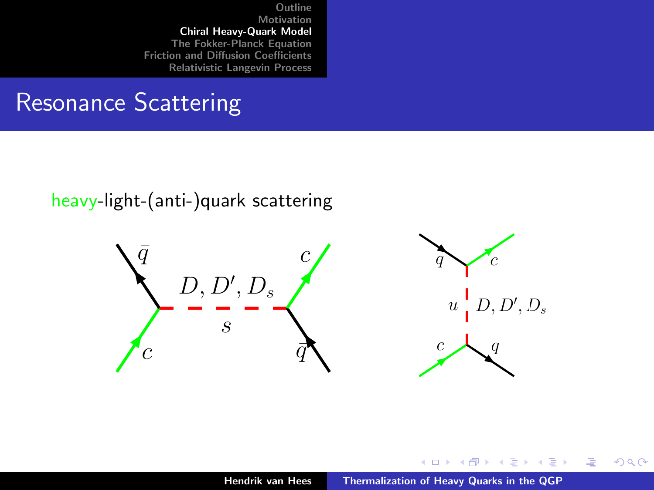## Resonance Scattering

#### heavy-light-(anti-)quark scattering



K ロ ⊁ K 倒 ≯ K ミ ⊁ K ミ ≯

<span id="page-12-0"></span>重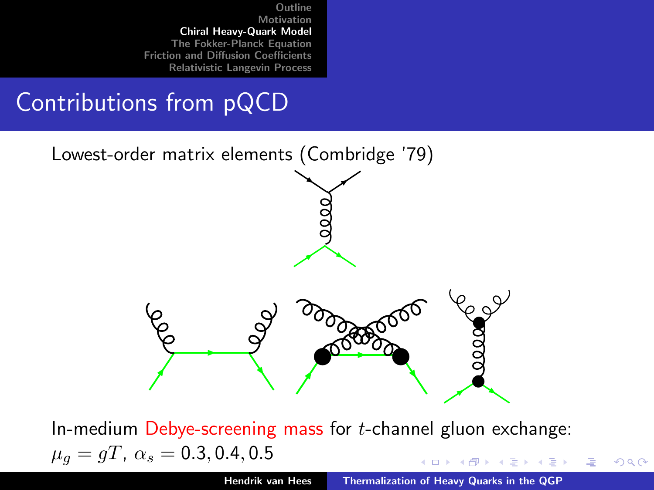## Contributions from pQCD



In-medium Debye-screening mass for  $t$ -channel gluon exchange:  $\mu_q = gT$ ,  $\alpha_s = 0.3, 0.4, 0.5$ イロメ イ御メ イヨメ イヨメ

 $\Omega$ 

<span id="page-13-0"></span>哇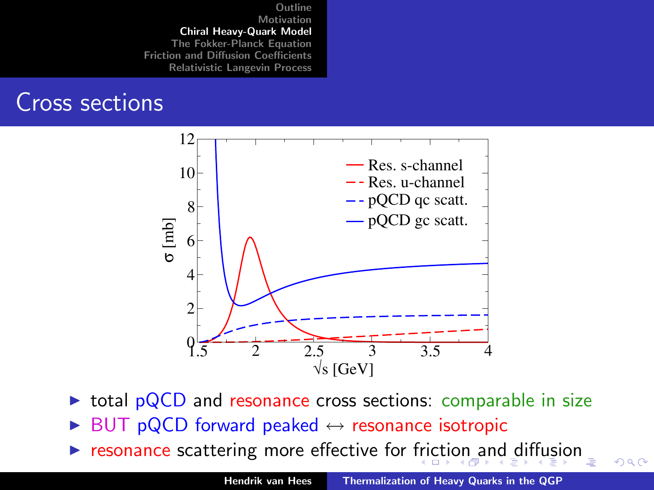#### Cross sections



- $\triangleright$  total pQCD and resonance cross sections: comparable in size
- BUT pQCD forward peaked  $\leftrightarrow$  resonance isotropic
- $\triangleright$  $\triangleright$  $\triangleright$  $\triangleright$  $\triangleright$  resonance scattering more effective for [fric](#page-13-0)[ti](#page-15-0)[o](#page-15-0)[n a](#page-14-0)n[d](#page-4-0) [d](#page-14-0)i[ff](#page-4-0)[u](#page-5-0)[si](#page-14-0)on

<span id="page-14-0"></span> $290$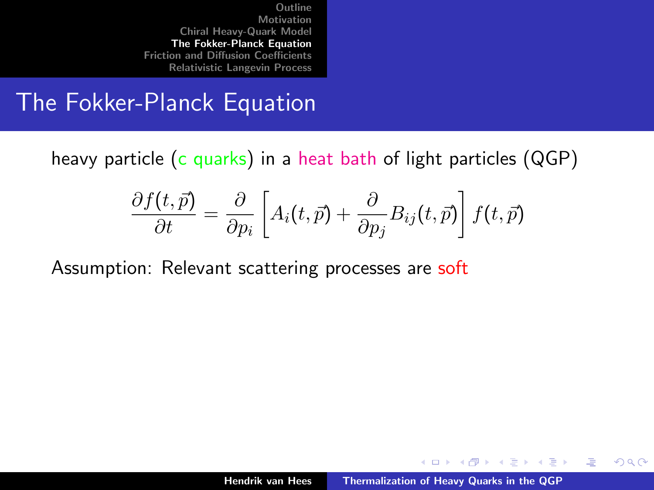#### The Fokker-Planck Equation

heavy particle (c quarks) in a heat bath of light particles (QGP)

$$
\frac{\partial f(t,\vec{p})}{\partial t} = \frac{\partial}{\partial p_i} \left[ A_i(t,\vec{p}) + \frac{\partial}{\partial p_j} B_{ij}(t,\vec{p}) \right] f(t,\vec{p})
$$

Assumption: Relevant scattering processes are soft

K ロ ⊁ K 倒 ≯ K ミ ⊁ K ミ ≯

<span id="page-15-0"></span>哇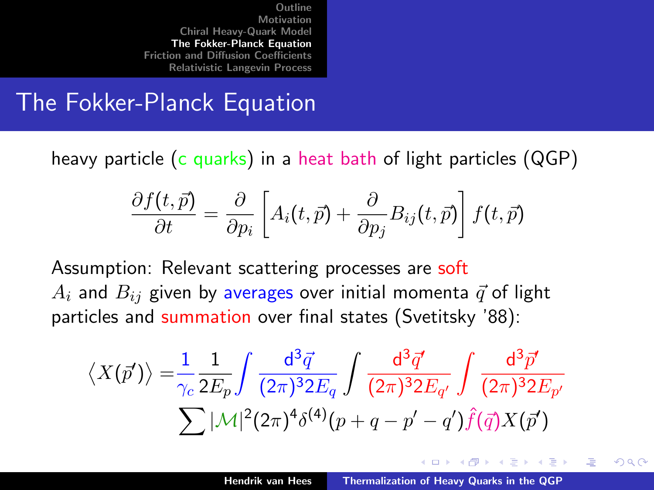#### The Fokker-Planck Equation

heavy particle (c quarks) in a heat bath of light particles (QGP)

$$
\frac{\partial f(t,\vec{p})}{\partial t} = \frac{\partial}{\partial p_i} \left[ A_i(t,\vec{p}) + \frac{\partial}{\partial p_j} B_{ij}(t,\vec{p}) \right] f(t,\vec{p})
$$

Assumption: Relevant scattering processes are soft  $A_i$  and  $B_{ij}$  given by averages over initial momenta  $\vec{q}$  of light particles and summation over final states (Svetitsky '88):

$$
\langle X(\vec{p}')\rangle = \frac{1}{\gamma_c} \frac{1}{2E_p} \int \frac{d^3 \vec{q}}{(2\pi)^3 2E_q} \int \frac{d^3 \vec{q}'}{(2\pi)^3 2E_{q'}} \int \frac{d^3 \vec{p}'}{(2\pi)^3 2E_{p'}}
$$
  

$$
\sum |\mathcal{M}|^2 (2\pi)^4 \delta^{(4)}(p+q-p'-q') \hat{f}(\vec{q}) X(\vec{p}')
$$

- オート オート オート

<span id="page-16-0"></span>へのへ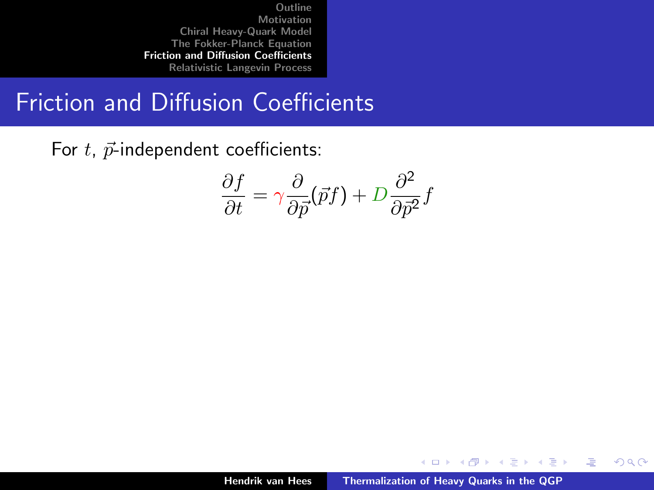## Friction and Diffusion Coefficients

For  $t$ ,  $\vec{p}$ -independent coefficients:

$$
\frac{\partial f}{\partial t} = \gamma \frac{\partial}{\partial \vec{p}} (\vec{p}f) + D \frac{\partial^2}{\partial \vec{p}^2} f
$$

イロト イ部 トイヨ トイヨト

<span id="page-17-0"></span>哇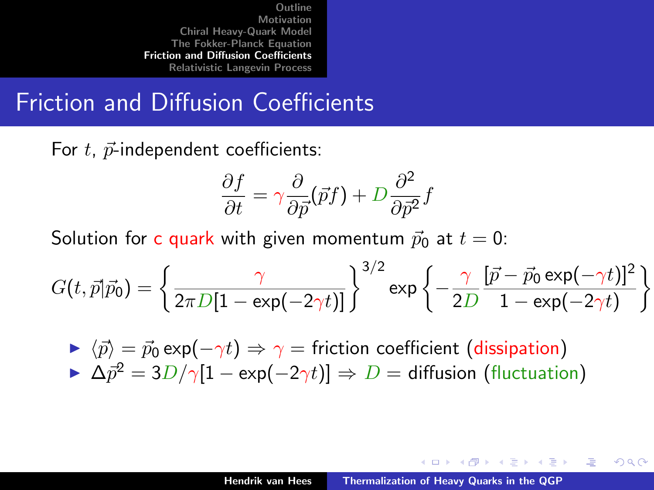## Friction and Diffusion Coefficients

For  $t$ ,  $\vec{p}$ -independent coefficients:

$$
\frac{\partial f}{\partial t} = \gamma \frac{\partial}{\partial \vec{p}} (\vec{p}f) + D \frac{\partial^2}{\partial \vec{p}^2} f
$$

Solution for c quark with given momentum  $\vec{p}_0$  at  $t = 0$ :

$$
G(t, \vec{p}|\vec{p}_0) = \left\{\frac{\gamma}{2\pi D[1 - \exp(-2\gamma t)]}\right\}^{3/2} \exp\left\{-\frac{\gamma}{2D} \frac{[\vec{p} - \vec{p}_0 \exp(-\gamma t)]^2}{1 - \exp(-2\gamma t)}\right\}
$$

 $\triangleright \langle \vec{p} \rangle = \vec{p}_0 \exp(-\gamma t) \Rightarrow \gamma =$  friction coefficient (dissipation)  $\Delta \vec{p}^2 = 3D/\gamma[1 - \exp(-2\gamma t)] \Rightarrow D =$  diffusion (fluctuation)

イロメ マ桐 メラミンマチャ

<span id="page-18-0"></span>へのへ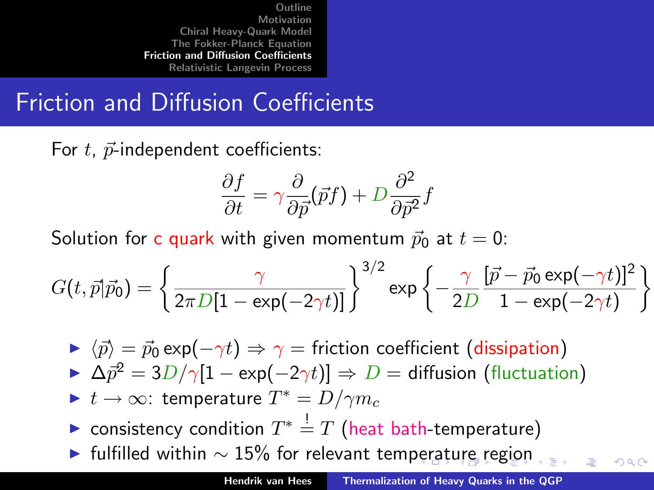# Friction and Diffusion Coefficients

For  $t$ ,  $\vec{p}$ -independent coefficients:

$$
\frac{\partial f}{\partial t} = \gamma \frac{\partial}{\partial \vec{p}} (\vec{p}f) + D \frac{\partial^2}{\partial \vec{p}^2} f
$$

Solution for c quark with given momentum  $\vec{p}_0$  at  $t = 0$ :

$$
G(t, \vec{p}|\vec{p}_0) = \left\{ \frac{\gamma}{2\pi D[1 - \exp(-2\gamma t)]} \right\}^{3/2} \exp\left\{ -\frac{\gamma}{2D} \frac{[\vec{p} - \vec{p}_0 \exp(-\gamma t)]^2}{1 - \exp(-2\gamma t)} \right\}
$$

- $\triangleright \langle \vec{p} \rangle = \vec{p}_0 \exp(-\gamma t) \Rightarrow \gamma =$  friction coefficient (dissipation)
- $\Delta \vec{p}^2 = 3D/\gamma[1 \exp(-2\gamma t)] \Rightarrow D =$  diffusion (fluctuation)
- $\blacktriangleright$   $t \to \infty$ : temperature  $T^* = D/\gamma m_c$
- ► consistency condition  $T^* \stackrel{!}{=} T$  (heat bath-temperature)
- $\blacktriangleright$  $\blacktriangleright$  $\blacktriangleright$  $\blacktriangleright$  $\blacktriangleright$  fulfilled withi[n](#page-27-0)  $\sim$  15% for relevant tem[per](#page-18-0)[at](#page-20-0)[ur](#page-16-0)e [r](#page-20-0)[eg](#page-16-0)i[o](#page-26-0)n

<span id="page-19-0"></span> $\circ$   $\circ$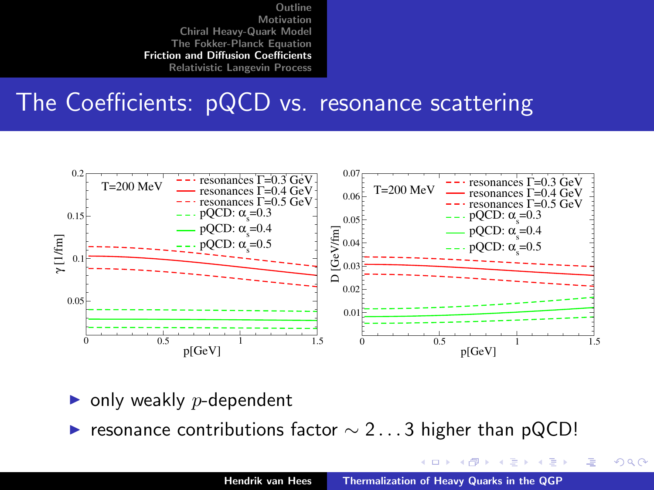### The Coefficients: pQCD vs. resonance scattering



- only weakly  $p$ -dependent
- resonance contributions factor  $\sim$  2...3 higher than pQCD!

メロメ メ御 メメ ヨメ メヨメ

<span id="page-20-0"></span>哇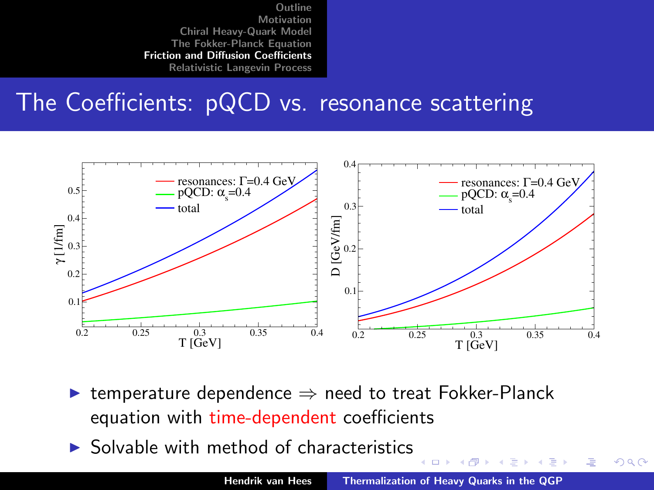### The Coefficients: pQCD vs. resonance scattering



- $\triangleright$  temperature dependence  $\Rightarrow$  need to treat Fokker-Planck equation with time-dependent coefficients
- $\triangleright$  Solvable with method of characteristics

→ 伊 →

4. 17. 18.

メミメ メミメ

唐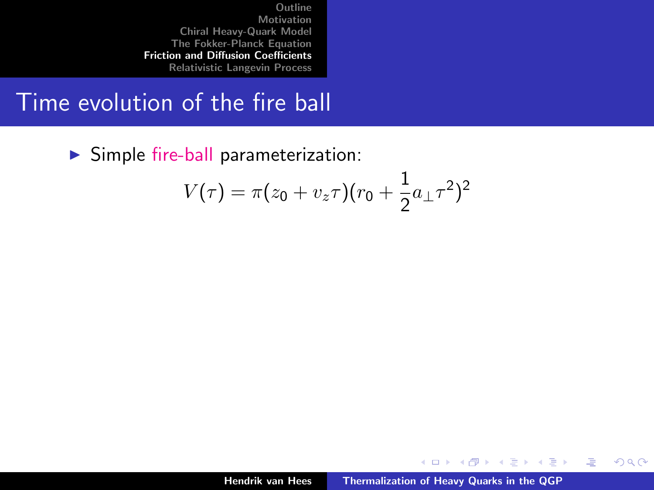#### Time evolution of the fire ball

 $\triangleright$  Simple fire-ball parameterization:

$$
V(\tau) = \pi (z_0 + v_z \tau) (r_0 + \frac{1}{2} a_{\perp} \tau^2)^2
$$

イロト イ押 トイモト イモト

哇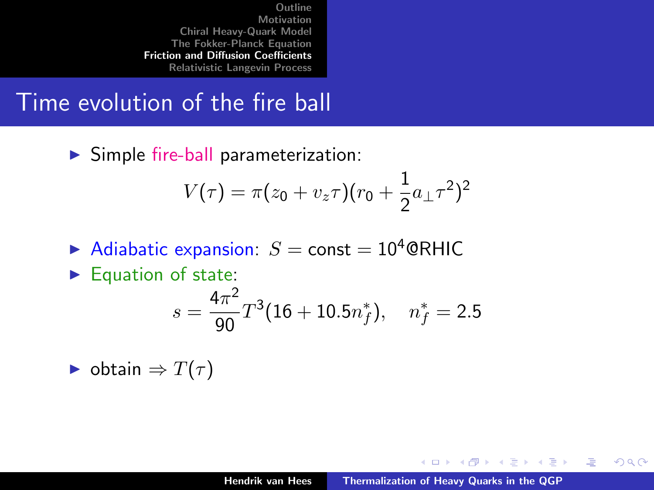### Time evolution of the fire ball

 $\triangleright$  Simple fire-ball parameterization:

$$
V(\tau)=\pi(z_0+v_z\tau)(r_0+\frac{1}{2}a_\perp\tau^2)^2
$$

- Adiabatic expansion:  $S =$  const = 10<sup>4</sup> @RHIC
- $\blacktriangleright$  Equation of state:

$$
s = \frac{4\pi^2}{90}T^3(16+10.5n_f^*), \quad n_f^* = 2.5
$$

 $\triangleright$  obtain  $\Rightarrow$   $T(\tau)$ 

K ロ ⊁ K 倒 ≯ K ミ ⊁ K ミ ≯

哇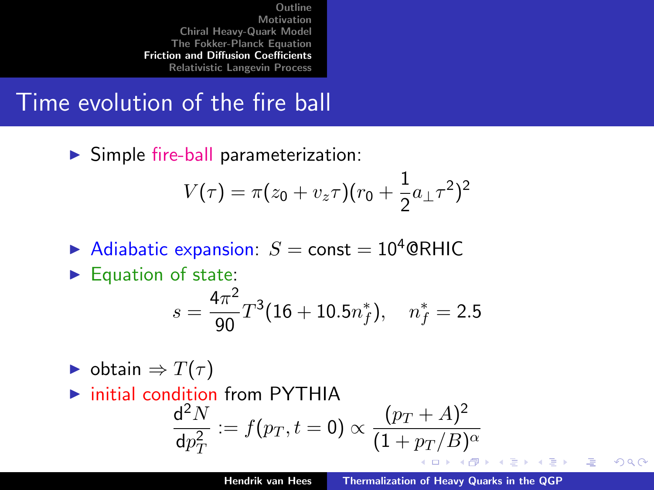## Time evolution of the fire ball

 $\triangleright$  Simple fire-ball parameterization:

$$
V(\tau)=\pi(z_0+v_z\tau)(r_0+\frac{1}{2}a_\perp\tau^2)^2
$$

- Adiabatic expansion:  $S =$  const = 10<sup>4</sup> @RHIC
- $\blacktriangleright$  Equation of state:

$$
s = \frac{4\pi^2}{90}T^3(16+10.5n_f^*), \quad n_f^* = 2.5
$$

- $\triangleright$  obtain  $\Rightarrow$   $T(\tau)$
- $\triangleright$  initial condition from PYTHIA  $d^2N$  $:= f(p_T, t = 0) \propto \frac{(p_T + A)^2}{(1 + p_T / B)}$  $dp_T^2$  $(1+p_T/B)^{\alpha}$ - 4 m + すきわ すきわ

唐

へのへ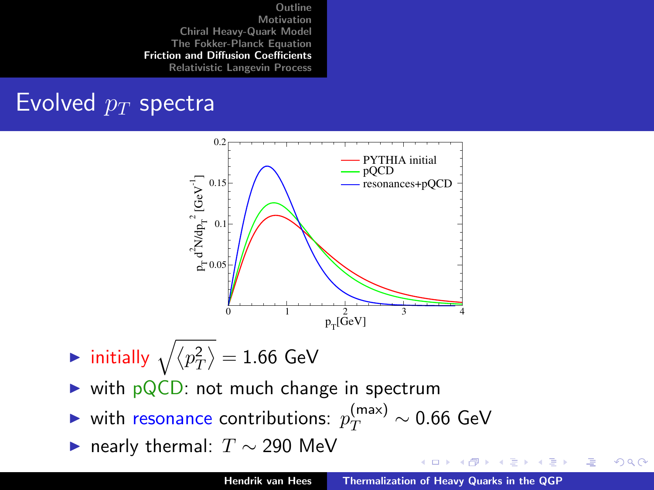# Evolved  $p_T$  spectra



- $\blacktriangleright$  initially  $\sqrt{\langle p_T^2\rangle} = 1.66$  GeV
- $\triangleright$  with pQCD: not much change in spectrum
- ► with resonance contributions:  $p_{T}^{(\text{max})} \sim 0.66$  GeV
- $\blacktriangleright$  nearly thermal:  $T \sim 290$  MeV

メロメ メ御 メメ ミメ メミメ

 $2Q$ 

哇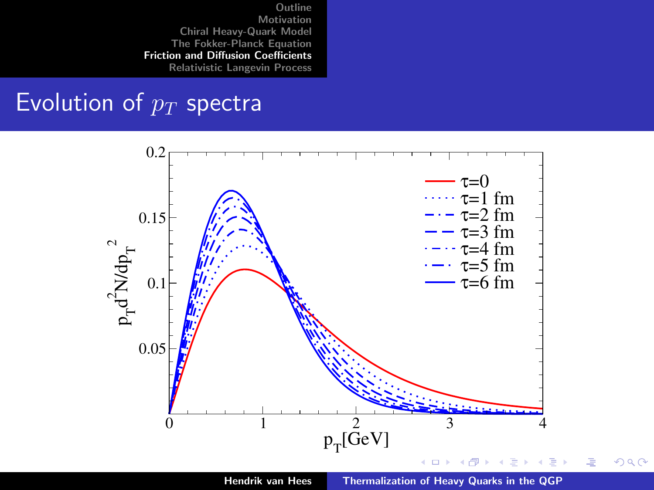#### Evolution of  $p_T$  spectra

<span id="page-26-0"></span>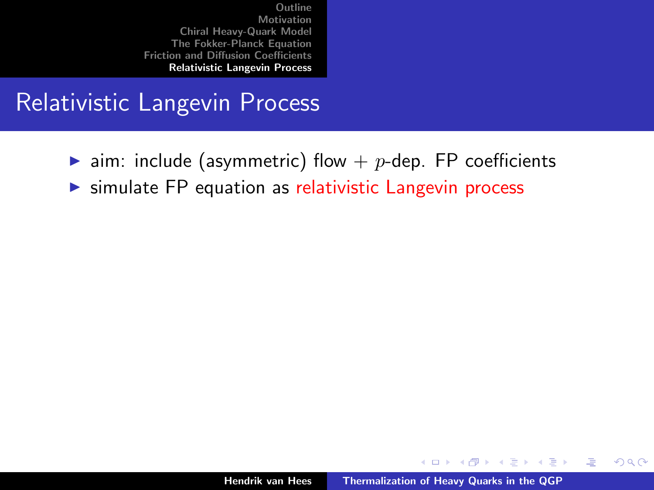## Relativistic Langevin Process

- ighthalorringularies aim. include (asymmetric) flow  $p$ -dep. FP coefficients
- $\triangleright$  simulate FP equation as relativistic Langevin process

a mills.

メタメメ ミメメ ミメ

<span id="page-27-0"></span>唐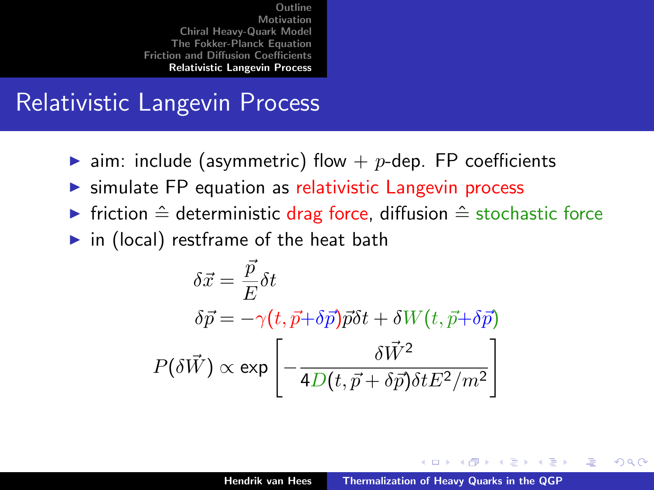## Relativistic Langevin Process

- ightharpoonup aim: include (asymmetric) flow  $p$ -dep. FP coefficients
- $\triangleright$  simulate FP equation as relativistic Langevin process
- **Filter** friction  $\hat{=}$  deterministic drag force, diffusion  $\hat{=}$  stochastic force
- $\triangleright$  in (local) restframe of the heat bath

$$
\delta \vec{x} = \frac{\vec{p}}{E} \delta t
$$

$$
\delta \vec{p} = -\gamma (t, \vec{p} + \delta \vec{p}) \vec{p} \delta t + \delta W(t, \vec{p} + \delta \vec{p})
$$

$$
P(\delta \vec{W}) \propto \exp \left[ -\frac{\delta \vec{W}^2}{4D(t, \vec{p} + \delta \vec{p}) \delta t E^2 / m^2} \right]
$$

K ロ ⊁ K 倒 ≯ K ミ ⊁ K ミ ≯

<span id="page-28-0"></span>つくい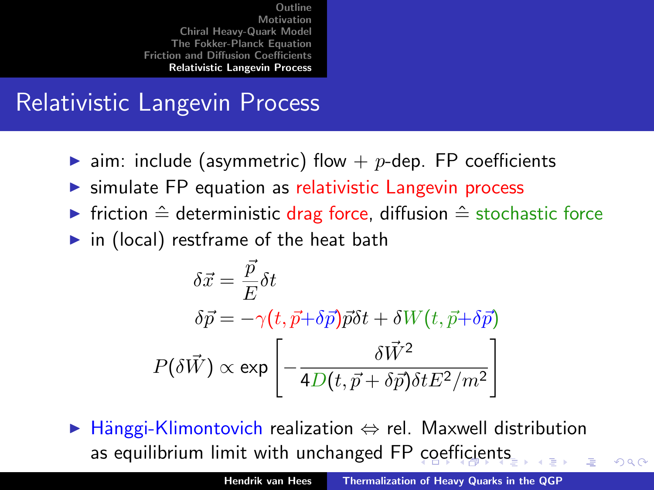# Relativistic Langevin Process

- ightharpoonup aim: include (asymmetric) flow  $p$ -dep. FP coefficients
- $\triangleright$  simulate FP equation as relativistic Langevin process
- **Find Friction**  $\hat{=}$  deterministic drag force, diffusion  $\hat{=}$  stochastic force
- $\triangleright$  in (local) restframe of the heat bath

$$
\delta \vec{x} = \frac{\vec{p}}{E} \delta t
$$

$$
\delta \vec{p} = -\gamma (t, \vec{p} + \delta \vec{p}) \vec{p} \delta t + \delta W(t, \vec{p} + \delta \vec{p})
$$

$$
P(\delta \vec{W}) \propto \exp \left[ -\frac{\delta \vec{W}^2}{4D(t, \vec{p} + \delta \vec{p}) \delta t E^2 / m^2} \right]
$$

 $\triangleright$  Hänggi-Klimontovich realization  $\Leftrightarrow$  rel. Maxwell distribution as equilibrium limit with unchanged FP [co](#page-28-0)[e](#page-30-0)[ffi](#page-26-0)[c](#page-27-0)[ie](#page-29-0)[n](#page-30-0)[t](#page-26-0)[s](#page-27-0)

<span id="page-29-0"></span> $\Omega$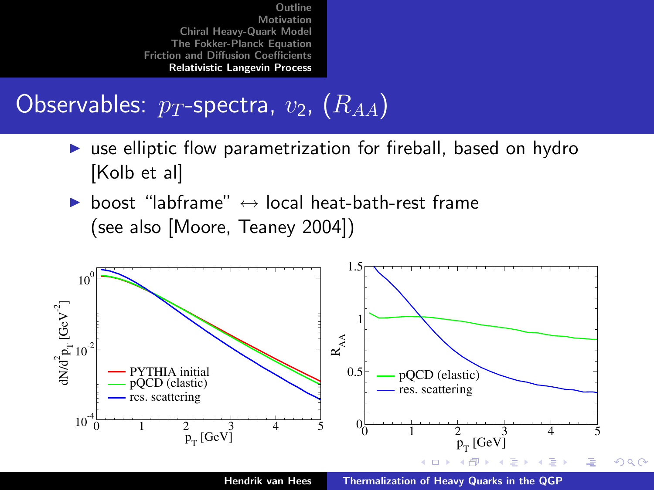#### Observables:  $p_T$ -spectra,  $v_2$ ,  $(R_{AA})$

- $\triangleright$  use elliptic flow parametrization for fireball, based on hydro [Kolb et al]
- ▶ boost "labframe"  $\leftrightarrow$  local heat-bath-rest frame (see also [Moore, Teaney 2004])



Hendrik van Hees [Thermalization of Heavy Quarks in the QGP](#page-0-0)

<span id="page-30-0"></span>つへへ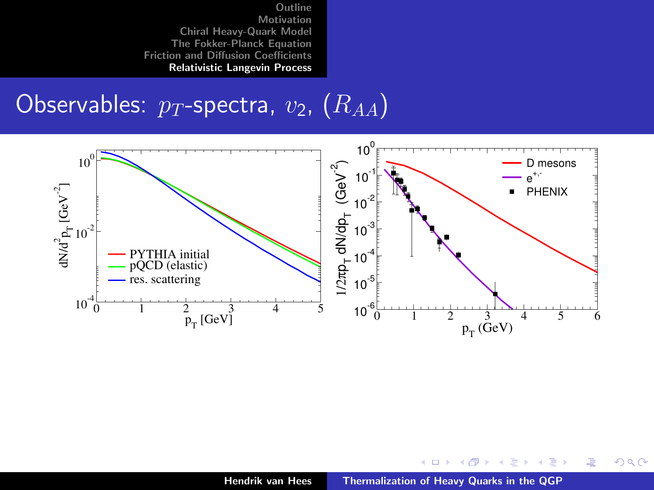#### Observables:  $p_T$ -spectra,  $v_2$ ,  $(R_{AA})$



メロメ メ御 メメ ミメ メミメ

重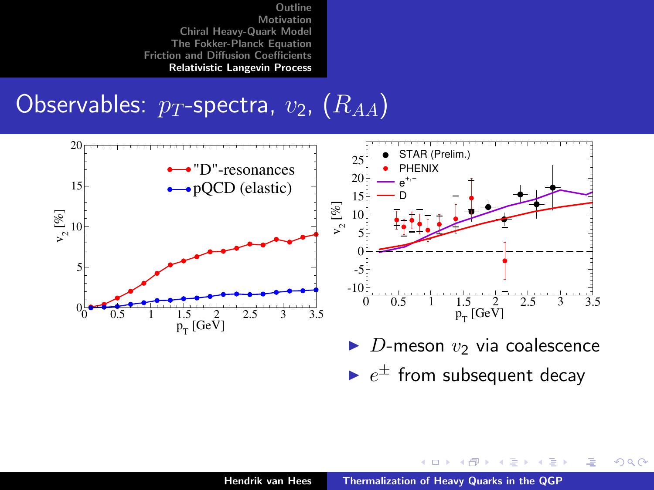Observables:  $p_T$ -spectra,  $v_2$ ,  $(R_{AA})$ 



 $\blacktriangleright$   $e^{\pm}$  from subsequent decay

メロメ メ御 メメ ミメ メミメ

唐